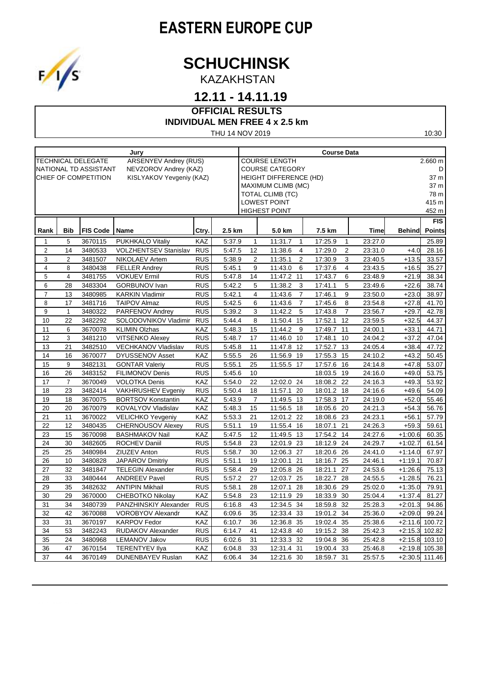## **EASTERN EUROPE CUP**



KAZAKHSTAN

### **12.11 - 14.11.19**

### **OFFICIAL RESULTS**

#### **INDIVIDUAL MEN FREE 4 x 2.5 km**

THU 14 NOV 2019

| Jury           |                                                           |                       |                              | <b>Course Data</b> |        |                                 |                |                               |                |            |                |             |               |                |
|----------------|-----------------------------------------------------------|-----------------------|------------------------------|--------------------|--------|---------------------------------|----------------|-------------------------------|----------------|------------|----------------|-------------|---------------|----------------|
|                | <b>TECHNICAL DELEGATE</b><br><b>ARSENYEV Andrey (RUS)</b> |                       |                              |                    |        | <b>COURSE LENGTH</b><br>2.660 m |                |                               |                |            |                |             |               |                |
|                |                                                           | NATIONAL TD ASSISTANT | NEVZOROV Andrey (KAZ)        |                    |        |                                 |                | <b>COURSE CATEGORY</b>        |                |            |                |             |               | D              |
|                | CHIEF OF COMPETITION<br>KISLYAKOV Yevgeniy (KAZ)          |                       |                              |                    |        |                                 |                | <b>HEIGHT DIFFERENCE (HD)</b> |                |            |                |             |               | 37 m           |
|                |                                                           |                       |                              |                    |        |                                 |                | <b>MAXIMUM CLIMB (MC)</b>     |                |            |                |             |               | 37 m           |
|                |                                                           |                       |                              |                    |        |                                 |                | TOTAL CLIMB (TC)              |                |            |                |             |               | 78 m           |
|                |                                                           |                       |                              |                    |        |                                 |                | <b>LOWEST POINT</b>           |                |            |                |             |               | 415 m          |
|                |                                                           |                       |                              |                    |        |                                 |                | <b>HIGHEST POINT</b>          |                |            |                |             |               | 452 m          |
|                |                                                           |                       |                              |                    |        |                                 |                |                               |                |            |                |             |               | FIS            |
| Rank           | <b>Bib</b>                                                | <b>FIS Code</b>       | Name                         | Ctry.              | 2.5 km |                                 |                | 5.0 km                        |                | 7.5 km     |                | <b>Time</b> | <b>Behind</b> | <b>Points</b>  |
| 1              | 5                                                         | 3670115               | <b>PUKHKALO Vitaliy</b>      | <b>KAZ</b>         | 5:37.9 |                                 | 1              | 11:31.7                       | $\mathbf{1}$   | 17:25.9    | 1              | 23:27.0     |               | 25.89          |
| $\overline{2}$ | 14                                                        | 3480533               | <b>VOLZHENTSEV Stanislav</b> | <b>RUS</b>         | 5:47.5 |                                 | 12             | 11:38.6                       | $\overline{4}$ | 17:29.0    | 2              | 23:31.0     | $+4.0$        | 28.16          |
| 3              | 2                                                         | 3481507               | NIKOLAEV Artem               | <b>RUS</b>         | 5:38.9 |                                 | 2              | 11:35.1                       | $\overline{2}$ | 17:30.9    | 3              | 23:40.5     | $+13.5$       | 33.57          |
| 4              | 8                                                         | 3480438               | <b>FELLER Andrey</b>         | <b>RUS</b>         | 5:45.1 |                                 | 9              | 11:43.0                       | 6              | 17:37.6    | 4              | 23:43.5     | $+16.5$       | 35.27          |
| 5              | $\overline{4}$                                            | 3481755               | <b>VOKUEV Ermil</b>          | <b>RUS</b>         | 5:47.8 |                                 | 14             | 11:47.2<br>11                 |                | 17:43.7    | 6              | 23:48.9     | $+21.9$       | 38.34          |
| 6              | 28                                                        | 3483304               | <b>GORBUNOV Ivan</b>         | <b>RUS</b>         | 5:42.2 |                                 | 5              | 11:38.2                       | 3              | 17:41.1    | 5              | 23:49.6     | $+22.6$       | 38.74          |
| $\overline{7}$ | 13                                                        | 3480985               | <b>KARKIN Vladimir</b>       | <b>RUS</b>         | 5.42.1 |                                 | $\overline{4}$ | 11:43.6                       | $\overline{7}$ | 17:46.1    | 9              | 23:50.0     | $+23.0$       | 38.97          |
| 8              | 17                                                        | 3481716               | <b>TAIPOV Almaz</b>          | <b>RUS</b>         | 5.42.5 |                                 | 6              | 11:43.6                       | $\overline{7}$ | 17:45.6    | 8              | 23:54.8     | $+27.8$       | 41.70          |
| 9              | $\mathbf{1}$                                              | 3480322               | PARFENOV Andrey              | <b>RUS</b>         | 5.39.2 |                                 | 3              | 11:42.2                       | 5              | 17:43.8    | $\overline{7}$ | 23:56.7     | $+29.7$       | 42.78          |
| 10             | 22                                                        | 3482292               | SOLODOVNIKOV Vladimir        | <b>RUS</b>         | 5.44.4 |                                 | 8              | 11:50.4                       | 15             | 17:52.1    | 12             | 23:59.5     | $+32.5$       | 44.37          |
| 11             | 6                                                         | 3670078               | <b>KLIMIN Olzhas</b>         | <b>KAZ</b>         | 5.48.3 |                                 | 15             | 11:44.2                       | 9              | 17:49.7    | 11             | 24:00.1     | $+33.1$       | 44.71          |
| 12             | 3                                                         | 3481210               | <b>VITSENKO Alexey</b>       | <b>RUS</b>         | 5:48.7 |                                 | 17             | 11:46.0<br>10                 |                | 17:48.1    | 10             | 24:04.2     | $+37.2$       | 47.04          |
| 13             | 21                                                        | 3482510               | <b>VECHKANOV Vladislav</b>   | <b>RUS</b>         | 5:45.8 |                                 | 11             | 11:47.8<br>12                 |                | 17:52.7    | 13             | 24:05.4     | $+38.4$       | 47.72          |
| 14             | 16                                                        | 3670077               | <b>DYUSSENOV Asset</b>       | <b>KAZ</b>         | 5:55.5 |                                 | 26             | 11:56.9 19                    |                | 17:55.3    | 15             | 24:10.2     | $+43.2$       | 50.45          |
| 15             | 9                                                         | 3482131               | <b>GONTAR Valeriy</b>        | <b>RUS</b>         | 5.55.1 |                                 | 25             | 11:55.5<br>17                 |                | 17:57.6    | 16             | 24:14.8     | $+47.8$       | 53.07          |
| 16             | 26                                                        | 3483152               | <b>FILIMONOV Denis</b>       | <b>RUS</b>         | 5.45.6 |                                 | 10             |                               |                | 18:03.5    | 19             | 24:16.0     | $+49.0$       | 53.75          |
| 17             | $\overline{7}$                                            | 3670049               | <b>VOLOTKA Denis</b>         | KAZ                | 5:54.0 |                                 | 22             | 12:02.0 24                    |                | 18:08.2    | 22             | 24:16.3     | $+49.3$       | 53.92          |
| 18             | 23                                                        | 3482414               | <b>VAKHRUSHEV Evgeniy</b>    | <b>RUS</b>         | 5.50.4 |                                 | 18             | 11:57.1<br>20                 |                | 18:01.2    | 18             | 24:16.6     | $+49.6$       | 54.09          |
| 19             | 18                                                        | 3670075               | <b>BORTSOV Konstantin</b>    | <b>KAZ</b>         | 5.43.9 |                                 | $\overline{7}$ | 11:49.5 13                    |                | 17:58.3    | 17             | 24:19.0     | $+52.0$       | 55.46          |
| 20             | 20                                                        | 3670079               | KOVALYOV Vladislav           | KAZ                | 5:48.3 |                                 | 15             | 11:56.5 18                    |                | 18:05.6 20 |                | 24:21.3     | $+54.3$       | 56.76          |
| 21             | 11                                                        | 3670022               | <b>VELICHKO Yevgeniy</b>     | KAZ                | 5:53.3 |                                 | 21             | 12:01.2<br>22                 |                | 18:08.6    | 23             | 24:23.1     | $+56.1$       | 57.79          |
| 22             | 12                                                        | 3480435               | <b>CHERNOUSOV Alexey</b>     | <b>RUS</b>         | 5:51.1 |                                 | 19             | 11:55.4 16                    |                | 18:07.1    | 21             | 24:26.3     | $+59.3$       | 59.61          |
| 23             | 15                                                        | 3670098               | <b>BASHMAKOV Nail</b>        | KAZ                | 5:47.5 |                                 | 12             | 11:49.5 13                    |                | 17:54.2    | 14             | 24:27.6     | $+1:00.6$     | 60.35          |
| 24             | 30                                                        | 3482605               | ROCHEV Daniil                | <b>RUS</b>         | 5:54.8 |                                 | 23             | 12:01.9 23                    |                | 18:12.9 24 |                | 24:29.7     | $+1:02.7$     | 61.54          |
| 25             | 25                                                        | 3480984               | ZIUZEV Anton                 | <b>RUS</b>         | 5:58.7 |                                 | 30             | 12:06.3 27                    |                | 18:20.6 26 |                | 24:41.0     | $+1.14.0$     | 67.97          |
| 26             | 10                                                        | 3480828               | <b>JAPAROV Dmitriy</b>       | <b>RUS</b>         | 5:51.1 |                                 | 19             | 12:00.1 21                    |                | 18:16.7 25 |                | 24:46.1     | $+1:19.1$     | 70.87          |
| 27             | 32                                                        | 3481847               | <b>TELEGIN Alexander</b>     | <b>RUS</b>         | 5:58.4 |                                 | 29             | 12:05.8 26                    |                | 18:21.1    | 27             | 24:53.6     | $+1:26.6$     | 75.13          |
| 28             | 33                                                        | 3480444               | <b>ANDREEV Pavel</b>         | <b>RUS</b>         | 5:57.2 |                                 | 27             | 12:03.7<br>25                 |                | 18:22.7    | 28             | 24:55.5     | $+1:28.5$     | 76.21          |
| 29             | 35                                                        | 3482632               | <b>ANTIPIN Mikhail</b>       | <b>RUS</b>         | 5:58.1 |                                 | 28             | 12:07.1<br>28                 |                | 18:30.6    | 29             | 25:02.0     | $+1:35.0$     | 79.91          |
| 30             | 29                                                        | 3670000               | <b>CHEBOTKO Nikolay</b>      | <b>KAZ</b>         | 5:54.8 |                                 | 23             | 12:11.9 29                    |                | 18:33.9 30 |                | 25:04.4     | $+1:37.4$     | 81.27          |
| 31             | 34                                                        | 3480739               | PANZHINSKIY Alexander        | <b>RUS</b>         | 6:16.8 |                                 | 43             | 12:34.5 34                    |                | 18:59.8    | 32             | 25:28.3     | $+2:01.3$     | 94.86          |
| 32             | 42                                                        | 3670088               | <b>VOROBYOV Alexandr</b>     | KAZ                | 6:09.6 |                                 | 35             | 12:33.4 33                    |                | 19:01.2    | 34             | 25:36.0     | $+2:09.0$     | 99.24          |
| 33             | 31                                                        | 3670197               | <b>KARPOV Fedor</b>          | <b>KAZ</b>         | 6:10.7 |                                 | 36             | 12:36.8 35                    |                | 19:02.4    | 35             | 25:38.6     | $+2:11.6$     | 100.72         |
| 34             | 53                                                        | 3482243               | RUDAKOV Alexander            | <b>RUS</b>         | 6:14.7 |                                 | 41             | 12:43.8<br>40                 |                | 19:15.2    | 38             | 25:42.3     | $+2:15.3$     | 102.82         |
| 35             | 24                                                        | 3480968               | LEMANOV Jakov                | <b>RUS</b>         | 6:02.6 |                                 | 31             | 12:33.3<br>32                 |                | 19:04.8    | 36             | 25:42.8     | $+2:15.8$     | 103.10         |
| 36             | 47                                                        | 3670154               | <b>TERENTYEV Ilya</b>        | KAZ                | 6:04.8 |                                 | 33             | 12:31.4 31                    |                | 19:00.4    | 33             | 25:46.8     | $+2:19.8$     | 105.38         |
| 37             | 44                                                        | 3670149               | DUNENBAYEV Ruslan            | KAZ                | 6:06.4 |                                 | 34             | 12:21.6 30                    |                | 18:59.7    | 31             | 25:57.5     |               | +2:30.5 111.46 |

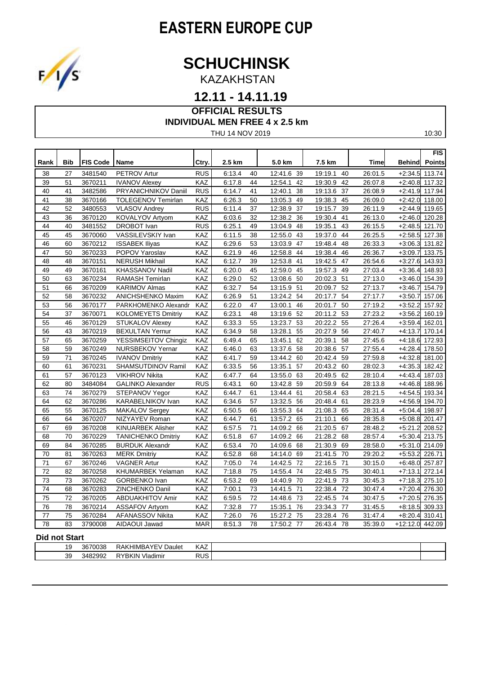# **EASTERN EUROPE CUP**



KAZAKHSTAN

#### **12.11 - 14.11.19**

#### **OFFICIAL RESULTS INDIVIDUAL MEN FREE 4 x 2.5 km**

THU 14 NOV 2019

| I |  |
|---|--|
|---|--|

|                      |            |                 |                           |            |        |                 |               |               |         |               | FIS           |
|----------------------|------------|-----------------|---------------------------|------------|--------|-----------------|---------------|---------------|---------|---------------|---------------|
| Rank                 | <b>Bib</b> | <b>FIS Code</b> | <b>Name</b>               | Ctry.      | 2.5 km |                 | 5.0 km        | 7.5 km        | Time    | <b>Behind</b> | <b>Points</b> |
| 38                   | 27         | 3481540         | PETROV Artur              | RUS        | 6:13.4 | 40              | 12:41.6<br>39 | 19:19.1<br>40 | 26:01.5 | $+2:34.5$     | 113.74        |
| 39                   | 51         | 3670211         | <b>IVANOV Alexey</b>      | KAZ        | 6:17.8 | 44              | 12:54.1<br>42 | 19:30.9<br>42 | 26:07.8 | $+2:40.8$     | 117.32        |
| 40                   | 41         | 3482586         | PRYANICHNIKOV Daniil      | <b>RUS</b> | 6:14.7 | 41              | 12:40.1<br>38 | 19:13.6<br>37 | 26:08.9 | $+2:41.9$     | 117.94        |
| 41                   | 38         | 3670166         | <b>TOLEGENOV Temirlan</b> | <b>KAZ</b> | 6:26.3 | 50              | 13:05.3<br>49 | 19:38.3<br>45 | 26:09.0 | $+2.42.0$     | 118.00        |
| 42                   | 52         | 3480553         | <b>VLASOV Andrey</b>      | <b>RUS</b> | 6:11.4 | 37              | 12:38.9<br>37 | 19:15.7<br>39 | 26:11.9 | $+2.44.9$     | 119.65        |
| 43                   | 36         | 3670120         | KOVALYOV Artyom           | <b>KAZ</b> | 6:03.6 | 32              | 12:38.2 36    | 19:30.4<br>41 | 26:13.0 | $+2.46.0$     | 120.28        |
| 44                   | 40         | 3481552         | <b>DROBOT</b> Ivan        | <b>RUS</b> | 6:25.1 | 49              | 13:04.9<br>48 | 19:35.1<br>43 | 26:15.5 | $+2:48.5$     | 121.70        |
| 45                   | 45         | 3670060         | VASSILEVSKIY Ivan         | KAZ        | 6:11.5 | $\overline{38}$ | 12:55.0<br>43 | 19:37.0<br>44 | 26:25.5 | $+2:58.5$     | 127.38        |
| 46                   | 60         | 3670212         | <b>ISSABEK Iliyas</b>     | KAZ        | 6:29.6 | 53              | 13:03.9<br>47 | 19:48.4<br>48 | 26:33.3 | $+3.06.3$     | 131.82        |
| 47                   | 50         | 3670233         | POPOV Yaroslav            | <b>KAZ</b> | 6:21.9 | 46              | 12:58.8<br>44 | 19:38.4<br>46 | 26:36.7 | $+3:09.7$     | 133.75        |
| 48                   | 48         | 3670151         | <b>NERUSH Mikhail</b>     | KAZ        | 6:12.7 | 39              | 12:53.8<br>41 | 19:42.5<br>47 | 26:54.6 | $+3:27.6$     | 143.93        |
| 49                   | 49         | 3670161         | KHASSANOV Nadil           | <b>KAZ</b> | 6:20.0 | 45              | 12:59.0<br>45 | 19:57.3<br>49 | 27:03.4 | $+3.36.4$     | 148.93        |
| 50                   | 63         | 3670234         | RAMASH Temirlan           | KAZ        | 6.29.0 | 52              | 13:08.6 50    | 20:02.3<br>51 | 27:13.0 | $+3:46.0$     | 154.39        |
| 51                   | 66         | 3670209         | KARIMOV Almas             | KAZ        | 6:32.7 | 54              | 13:15.9<br>51 | 20:09.7<br>52 | 27:13.7 | $+3.46.7$     | 154.79        |
| 52                   | 58         | 3670232         | ANICHSHENKO Maxim         | <b>KAZ</b> | 6:26.9 | 51              | 13:24.2 54    | 54<br>20:17.7 | 27:17.7 | $+3.50.7$     | 157.06        |
| 53                   | 56         | 3670177         | PARKHOMENKO Alexandr      | KAZ        | 6:22.0 | 47              | 13:00.1<br>46 | 50<br>20:01.7 | 27:19.2 | $+3:52.2$     | 157.92        |
| 54                   | 37         | 3670071         | <b>KOLOMEYETS Dmitriy</b> | KAZ        | 6:23.1 | 48              | 13:19.6<br>52 | 53<br>20:11.2 | 27:23.2 | $+3.56.2$     | 160.19        |
| 55                   | 46         | 3670129         | STUKALOV Alexey           | KAZ        | 6:33.3 | 55              | 13:23.7<br>53 | 20:22.2<br>55 | 27:26.4 | $+3.59.4$     | 162.01        |
| 56                   | 43         | 3670219         | <b>BEXULTAN Yernur</b>    | KAZ        | 6:34.9 | $\overline{58}$ | 13:28.1<br>55 | 20:27.9<br>56 | 27:40.7 | $+4.13.7$     | 170.14        |
| 57                   | 65         | 3670259         | YESSIMSEITOV Chingiz      | KAZ        | 6:49.4 | 65              | 13:45.1<br>62 | 20:39.1<br>58 | 27:45.6 | $+4:18.6$     | 172.93        |
| 58                   | 59         | 3670249         | NURSBEKOV Yernar          | <b>KAZ</b> | 6:46.0 | 63              | 13:37.6<br>58 | 20:38.6<br>57 | 27:55.4 | $+4.28.4$     | 178.50        |
| 59                   | 71         | 3670245         | <b>IVANOV Dmitriy</b>     | KAZ        | 6:41.7 | 59              | 13:44.2 60    | 20:42.4<br>59 | 27:59.8 | $+4:32.8$     | 181.00        |
| 60                   | 61         | 3670231         | SHAMSUTDINOV Ramil        | <b>KAZ</b> | 6:33.5 | $\overline{56}$ | 13:35.1<br>57 | 20:43.2<br>60 | 28:02.3 | $+4.35.3$     | 182.42        |
| 61                   | 57         | 3670123         | <b>VIKHROV Nikita</b>     | KAZ        | 6:47.7 | 64              | 13:55.0<br>63 | 20:49.5<br>62 | 28:10.4 | $+4.43.4$     | 187.03        |
| 62                   | 80         | 3484084         | <b>GALINKO Alexander</b>  | <b>RUS</b> | 6:43.1 | 60              | 13:42.8 59    | 20:59.9<br>64 | 28:13.8 | $+4:46.8$     | 188.96        |
| 63                   | 74         | 3670279         | STEPANOV Yegor            | KAZ        | 6:44.7 | 61              | 13:44.4<br>61 | 63<br>20:58.4 | 28:21.5 | $+4:54.5$     | 193.34        |
| 64                   | 62         | 3670286         | KARABELNIKOV Ivan         | KAZ        | 6:34.6 | 57              | 13:32.5<br>56 | 20:48.4<br>61 | 28:23.9 | $+4.56.9$     | 194.70        |
| 65                   | 55         | 3670125         | MAKALOV Sergey            | KAZ        | 6:50.5 | 66              | 13:55.3 64    | 21:08.3<br>65 | 28:31.4 | $+5:04.4$     | 198.97        |
| 66                   | 64         | 3670207         | NIZYAYEV Roman            | <b>KAZ</b> | 6:44.7 | 61              | 13:57.2<br>65 | 21:10.1<br>66 | 28:35.8 | $+5.08.8$     | 201.47        |
| 67                   | 69         | 3670208         | <b>KINUARBEK Alisher</b>  | KAZ        | 6:57.5 | 71              | 14:09.2<br>66 | 21:20.5<br>67 | 28:48.2 | $+5:21.2$     | 208.52        |
| 68                   | 70         | 3670229         | <b>TANICHENKO Dmitriy</b> | KAZ        | 6:51.8 | 67              | 14:09.2<br>66 | 21:28.2<br>68 | 28:57.4 | $+5:30.4$     | 213.75        |
| 69                   | 84         | 3670285         | <b>BURDUK Alexandr</b>    | KAZ        | 6:53.4 | 70              | 14:09.6<br>68 | 21:30.9<br>69 | 28:58.0 | $+5:31.0$     | 214.09        |
| 70                   | 81         | 3670263         | <b>MERK Dmitriy</b>       | KAZ        | 6:52.8 | 68              | 14:14.0<br>69 | 21:41.5<br>70 | 29:20.2 | $+5:53.2$     | 226.71        |
| 71                   | 67         | 3670246         | <b>VAGNER Artur</b>       | <b>KAZ</b> | 7:05.0 | 74              | 14:42.5<br>72 | 22:16.5<br>71 | 30:15.0 | $+6.48.0$     | 257.87        |
| 72                   | 82         | 3670258         | KHUMARBEK Yelaman         | KAZ        | 7:18.8 | 75              | 14:55.4 74    | 22:48.5<br>75 | 30:40.1 | $+7:13.1$     | 272.14        |
| 73                   | 73         | 3670262         | GORBENKO Ivan             | <b>KAZ</b> | 6:53.2 | 69              | 14:40.9 70    | 22:41.9<br>73 | 30:45.3 | $+7:18.3$     | 275.10        |
| 74                   | 68         | 3670283         | ZINCHENKO Danil           | <b>KAZ</b> | 7:00.1 | 73              | 14:41.5<br>71 | 22:38.4<br>72 | 30:47.4 | $+7:20.4$     | 276.30        |
| $\overline{75}$      | 72         | 3670205         | <b>ABDUAKHITOV Amir</b>   | KAZ        | 6:59.5 | $\overline{72}$ | 14:48.6 73    | 22:45.5<br>74 | 30:47.5 | $+7:20.5$     | 276.35        |
| 76                   | 78         | 3670214         | <b>ASSAFOV Artyom</b>     | KAZ        | 7:32.8 | 77              | 15:35.1<br>76 | 23:34.3<br>77 | 31:45.5 | $+8.18.5$     | 309.33        |
| 77                   | 75         | 3670284         | AFANASSOV Nikita          | KAZ        | 7:26.0 | 76              | 15:27.2 75    | 23:28.4<br>76 | 31:47.4 | $+8:20.4$     | 310.41        |
| 78                   | 83         | 3790008         | AIDAOUI Jawad             | <b>MAR</b> | 8:51.3 | 78              | 17:50.2 77    | 26:43.4<br>78 | 35:39.0 | $+12:12.0$    | 442.09        |
| <b>Did not Start</b> |            |                 |                           |            |        |                 |               |               |         |               |               |

| $\cdot$ | 3670038<br>'HIMBA<br>$\wedge$ $\vee$ $\sqsubset$ $\wedge$ .<br>RAKI<br>Daulet | 1/ ^ 7<br>KAZ |
|---------|-------------------------------------------------------------------------------|---------------|
| 39      | וס<br>$\sim$<br>$\cdots$<br><br>RYBKIN .<br>3482992<br>Vladimir<br>. ೧೦೦      |               |